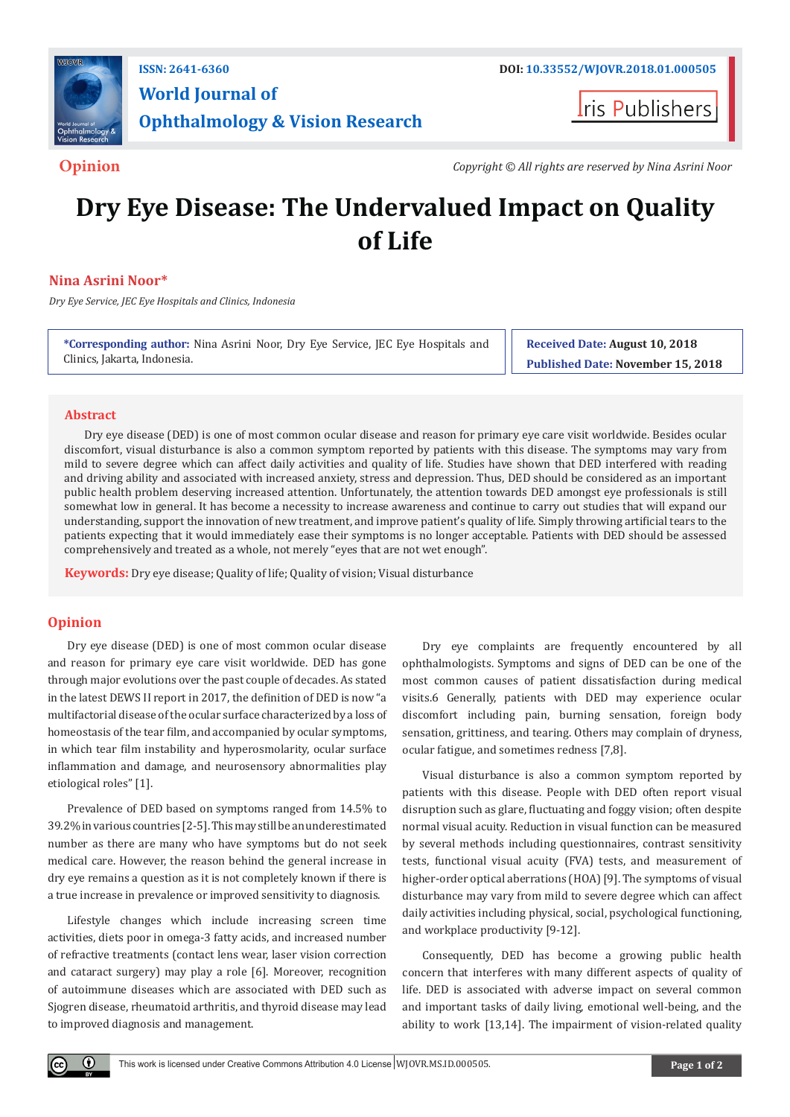

# **World Journal of Ophthalmology & Vision Research**

**Iris Publishers** 

**Opinion** *Copyright © All rights are reserved by Nina Asrini Noor*

# **Dry Eye Disease: The Undervalued Impact on Quality of Life**

# **Nina Asrini Noor\***

*Dry Eye Service, JEC Eye Hospitals and Clinics, Indonesia*

**\*Corresponding author:** Nina Asrini Noor, Dry Eye Service, JEC Eye Hospitals and Clinics, Jakarta, Indonesia.

**Received Date: August 10, 2018 Published Date: November 15, 2018**

## **Abstract**

Dry eye disease (DED) is one of most common ocular disease and reason for primary eye care visit worldwide. Besides ocular discomfort, visual disturbance is also a common symptom reported by patients with this disease. The symptoms may vary from mild to severe degree which can affect daily activities and quality of life. Studies have shown that DED interfered with reading and driving ability and associated with increased anxiety, stress and depression. Thus, DED should be considered as an important public health problem deserving increased attention. Unfortunately, the attention towards DED amongst eye professionals is still somewhat low in general. It has become a necessity to increase awareness and continue to carry out studies that will expand our understanding, support the innovation of new treatment, and improve patient's quality of life. Simply throwing artificial tears to the patients expecting that it would immediately ease their symptoms is no longer acceptable. Patients with DED should be assessed comprehensively and treated as a whole, not merely "eyes that are not wet enough".

**Keywords:** Dry eye disease; Quality of life; Quality of vision; Visual disturbance

# **Opinion**

Dry eye disease (DED) is one of most common ocular disease and reason for primary eye care visit worldwide. DED has gone through major evolutions over the past couple of decades. As stated in the latest DEWS II report in 2017, the definition of DED is now "a multifactorial disease of the ocular surface characterized by a loss of homeostasis of the tear film, and accompanied by ocular symptoms, in which tear film instability and hyperosmolarity, ocular surface inflammation and damage, and neurosensory abnormalities play etiological roles" [1].

Prevalence of DED based on symptoms ranged from 14.5% to 39.2% in various countries [2-5]. This may still be an underestimated number as there are many who have symptoms but do not seek medical care. However, the reason behind the general increase in dry eye remains a question as it is not completely known if there is a true increase in prevalence or improved sensitivity to diagnosis.

Lifestyle changes which include increasing screen time activities, diets poor in omega-3 fatty acids, and increased number of refractive treatments (contact lens wear, laser vision correction and cataract surgery) may play a role [6]. Moreover, recognition of autoimmune diseases which are associated with DED such as Sjogren disease, rheumatoid arthritis, and thyroid disease may lead to improved diagnosis and management.

Dry eye complaints are frequently encountered by all ophthalmologists. Symptoms and signs of DED can be one of the most common causes of patient dissatisfaction during medical visits.6 Generally, patients with DED may experience ocular discomfort including pain, burning sensation, foreign body sensation, grittiness, and tearing. Others may complain of dryness, ocular fatigue, and sometimes redness [7,8].

Visual disturbance is also a common symptom reported by patients with this disease. People with DED often report visual disruption such as glare, fluctuating and foggy vision; often despite normal visual acuity. Reduction in visual function can be measured by several methods including questionnaires, contrast sensitivity tests, functional visual acuity (FVA) tests, and measurement of higher-order optical aberrations (HOA) [9]. The symptoms of visual disturbance may vary from mild to severe degree which can affect daily activities including physical, social, psychological functioning, and workplace productivity [9-12].

Consequently, DED has become a growing public health concern that interferes with many different aspects of quality of life. DED is associated with adverse impact on several common and important tasks of daily living, emotional well-being, and the ability to work [13,14]. The impairment of vision-related quality